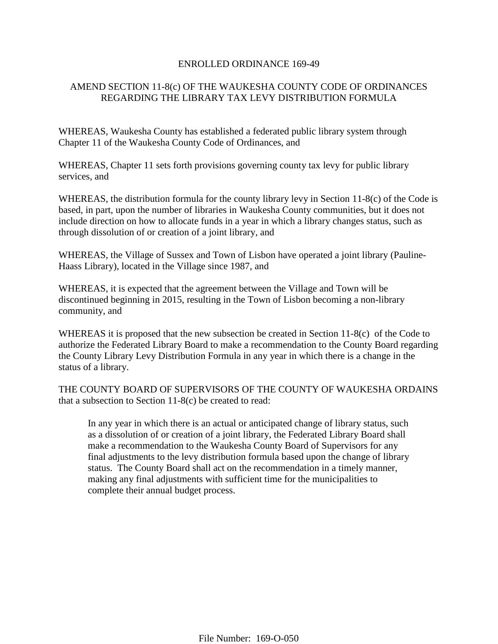## ENROLLED ORDINANCE 169-49

## AMEND SECTION 11-8(c) OF THE WAUKESHA COUNTY CODE OF ORDINANCES REGARDING THE LIBRARY TAX LEVY DISTRIBUTION FORMULA

WHEREAS, Waukesha County has established a federated public library system through Chapter 11 of the Waukesha County Code of Ordinances, and

WHEREAS, Chapter 11 sets forth provisions governing county tax levy for public library services, and

WHEREAS, the distribution formula for the county library levy in Section 11-8(c) of the Code is based, in part, upon the number of libraries in Waukesha County communities, but it does not include direction on how to allocate funds in a year in which a library changes status, such as through dissolution of or creation of a joint library, and

WHEREAS, the Village of Sussex and Town of Lisbon have operated a joint library (Pauline-Haass Library), located in the Village since 1987, and

WHEREAS, it is expected that the agreement between the Village and Town will be discontinued beginning in 2015, resulting in the Town of Lisbon becoming a non-library community, and

WHEREAS it is proposed that the new subsection be created in Section 11-8(c) of the Code to authorize the Federated Library Board to make a recommendation to the County Board regarding the County Library Levy Distribution Formula in any year in which there is a change in the status of a library.

THE COUNTY BOARD OF SUPERVISORS OF THE COUNTY OF WAUKESHA ORDAINS that a subsection to Section 11-8(c) be created to read:

In any year in which there is an actual or anticipated change of library status, such as a dissolution of or creation of a joint library, the Federated Library Board shall make a recommendation to the Waukesha County Board of Supervisors for any final adjustments to the levy distribution formula based upon the change of library status. The County Board shall act on the recommendation in a timely manner, making any final adjustments with sufficient time for the municipalities to complete their annual budget process.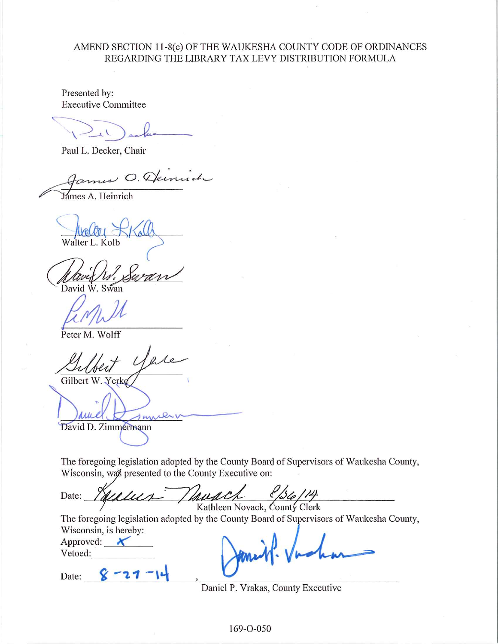## AMEND SECTION 11-8(c) OF THE WAUKESHA COUNTY CODE OF ORDINANCES REGARDING THE LIBRARY TAX LEVY DISTRIBUTION FORMULA

Presented by: **Executive Committee** 

Paul L. Decker, Chair

O. Dernud

Jámes A. Heinrich

David W. Swan

Peter M. Wolff

Gilbert W. Yerke

zur David D. Zimmermann

The foregoing legislation adopted by the County Board of Supervisors of Waukesha County, Wisconsin, was presented to the County Executive on:

Date: Kathleen Novack, County Clerk

The foregoing legislation adopted by the County Board of Supervisors of Waukesha County, Wisconsin, is hereby:

Approved:  $\bigstar$ Vetoed:

 $8 - 21$ Date:

Daniel P. Vrakas, County Executive

169-O-050